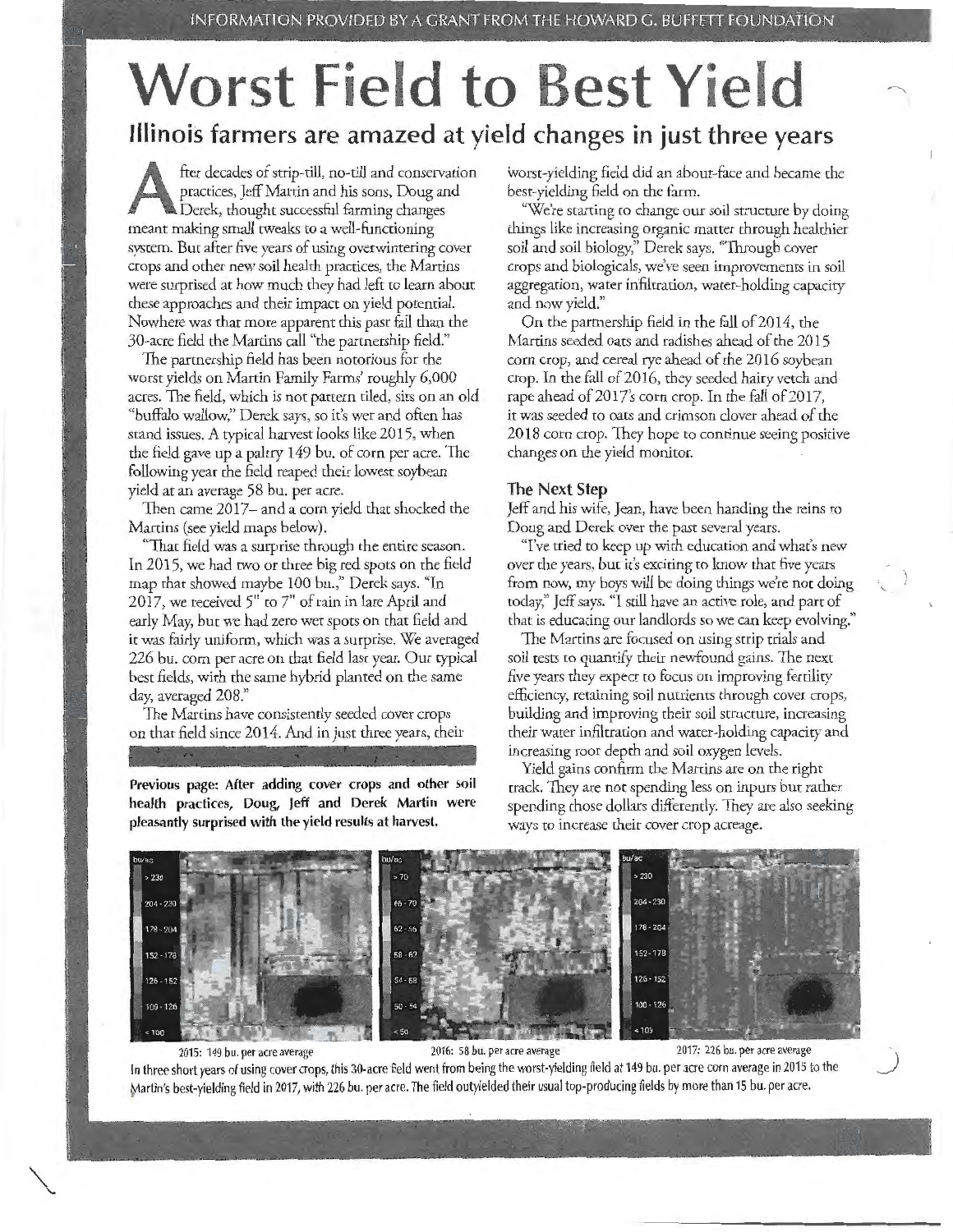# **Worst Field to Best Yield Illinois farmers are amazed at yield changes in just three years**

fter decades of strip-till, no-till and conservation practices, Jeff Martin and his sons, Doug and Derek, thought successful farming changes meant making small tweaks co a well-functioning system. But after five years of using overwintering cover crops and other new soil health practices, the Martins were surprised at how much they had left to learn about these approaches and their impact on yield potential. Nowhere was that more apparent this past fall than the 30-acre field the Martins call "the partnership field."

The partnership field has been notorious for the worse yields on Marcin Family Farms' roughly 6,000 acres. The field, which is not pattern tiled, sics on an old "buffalo wallow," Derek says, so it's wet and often has stand issues. A typical harvest looks like 2015, when the field gave up a paltry 149 bu. of corn per acre. The following year the field reaped their lowest soybean yield ar an average 58 bu. per acre.

Then came 2017- and a corn yield that shocked the Martins (see yield maps below).

"That field was a surprise through the entire season. In 2015, we had two or three big red spots on the field map that showed maybe 100 bu.," Derek says. "In 2017, we received 5" to 7" of rain in lace April and early May, bur we had zero wee spots on that field and it was fairly uniform, which was a surprise. We averaged 226 bu. corn per acre on that field last year. Our typical best fields, with the same hybrid planted on the same day, averaged 208."

The Martins have consistently seeded cover crops on that field since 2014. And in just three years, their

**Previous page: After adding cover crops and other soil health practices, Doug, Jeff and Derek Martin were pleasantly surprised with the yield results at harvest.** 

worse-yielding field did an abour-face and became the best-yielding field on the farm.

"We're starting to change our soil structure by doing things like increasing organic matter through healthier soil and soil biology," Derek says. "Through cover crops and biologicals, we've seen improvements in soil aggregation, water infiltration, water-holding capaciry and now yield."

On the partnership field in the fall of 2014, the Martins seeded oats and radishes ahead of the 2015 corn crop, and cereal rye ahead of the 2016 soybean crop. In the fall of 2016, they seeded hairy vetch and rape ahead of 2017's corn crop. In the fall of 2017, it was seeded to oats and crimson clover ahead of the 2018 corn crop. They hope co continue seeing positive changes on the yield monitor.

### **The Next Step**

Jeff and his wife, Jean, have been handing the reins to Doug and Derek over the past several years.

''I've tried co keep up with educatioh and what's new over the years, but it's exciting to know that five years from now, my boys will be doing things we're not doing coday," Jeff says. "I still have an active role, and part of that is educating our landlords so we can keep evolving."

The Martins are focused on using strip trials and soil tests to quantify their newfound gains. The next five years they expect co focus on improving ferriliry efficiency, retaining soil nutrients through cover crops, building and improving their soil structure, increasing their water infiltration and water-holding capaciry and increasing root depth and soil oxygen levels.

Yield gains confirm the Martins are on the right crack. They are not spending less on inputs but rather spending those dollars differently. They are also seeking ways to increase their cover crop acreage.



2015: 149 bu. per acre average 2016: 58 bu. per acre average 2017: 226 bu. per acre average *\_)* 

In three short years of using cover crops, this 30-acre field went from being the worst-yielding field at 149 bu. per acre corn average in 2015 to the Martin's best-yielding field in 2017, with 226 bu. per acre. The field outyielded their usual top-producing fields by more than 15 bu. per acre.